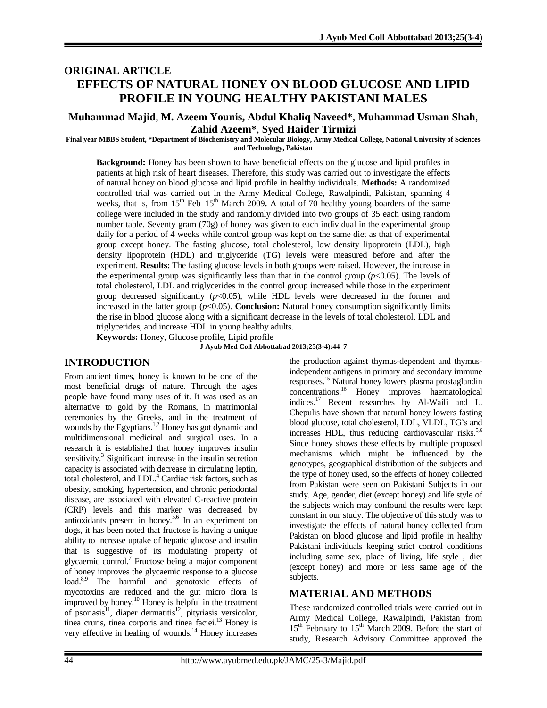# **ORIGINAL ARTICLE EFFECTS OF NATURAL HONEY ON BLOOD GLUCOSE AND LIPID PROFILE IN YOUNG HEALTHY PAKISTANI MALES**

#### **Muhammad Majid**, **M. Azeem Younis, Abdul Khaliq Naveed\***, **Muhammad Usman Shah**, **Zahid Azeem\***, **Syed Haider Tirmizi**

**Final year MBBS Student, \*Department of Biochemistry and Molecular Biology, Army Medical College, National University of Sciences and Technology, Pakistan**

**Background:** Honey has been shown to have beneficial effects on the glucose and lipid profiles in patients at high risk of heart diseases. Therefore, this study was carried out to investigate the effects of natural honey on blood glucose and lipid profile in healthy individuals. **Methods:** A randomized controlled trial was carried out in the Army Medical College, Rawalpindi, Pakistan, spanning 4 weeks, that is, from 15<sup>th</sup> Feb–15<sup>th</sup> March 2009. A total of 70 healthy young boarders of the same college were included in the study and randomly divided into two groups of 35 each using random number table. Seventy gram (70g) of honey was given to each individual in the experimental group daily for a period of 4 weeks while control group was kept on the same diet as that of experimental group except honey. The fasting glucose, total cholesterol, low density lipoprotein (LDL), high density lipoprotein (HDL) and triglyceride (TG) levels were measured before and after the experiment. **Results:** The fasting glucose levels in both groups were raised. However, the increase in the experimental group was significantly less than that in the control group  $(p<0.05)$ . The levels of total cholesterol, LDL and triglycerides in the control group increased while those in the experiment group decreased significantly  $(p<0.05)$ , while HDL levels were decreased in the former and increased in the latter group  $(p<0.05)$ . **Conclusion:** Natural honey consumption significantly limits the rise in blood glucose along with a significant decrease in the levels of total cholesterol, LDL and triglycerides, and increase HDL in young healthy adults.

**Keywords:** Honey, Glucose profile, Lipid profile

**J Ayub Med Coll Abbottabad 2013;25(3-4):44–7**

### **INTRODUCTION**

From ancient times, honey is known to be one of the most beneficial drugs of nature. Through the ages people have found many uses of it. It was used as an alternative to gold by the Romans, in matrimonial ceremonies by the Greeks, and in the treatment of wounds by the Egyptians. 1,2 Honey has got dynamic and multidimensional medicinal and surgical uses. In a research it is established that honey improves insulin sensitivity.<sup>3</sup> Significant increase in the insulin secretion capacity is associated with decrease in circulating leptin, total cholesterol, and LDL. <sup>4</sup> Cardiac risk factors, such as obesity, smoking, hypertension, and chronic periodontal disease, are associated with elevated C-reactive protein (CRP) levels and this marker was decreased by antioxidants present in honey. 5,6 In an experiment on dogs, it has been noted that fructose is having a unique ability to increase uptake of hepatic glucose and insulin that is suggestive of its modulating property of glycaemic control. 7 Fructose being a major component of honey improves the glycaemic response to a glucose load.<sup>8,9</sup> The harmful and genotoxic effects of mycotoxins are reduced and the gut micro flora is improved by honey.<sup>10</sup> Honey is helpful in the treatment of psoriasis<sup>11</sup>, diaper dermatitis<sup>12</sup>, pityriasis versicolor, tinea cruris, tinea corporis and tinea faciei. <sup>13</sup> Honey is very effective in healing of wounds.<sup>14</sup> Honey increases the production against thymus-dependent and thymusindependent antigens in primary and secondary immune responses. <sup>15</sup> Natural honey lowers plasma prostaglandin concentrations. <sup>16</sup> Honey improves haematological indices. <sup>17</sup> Recent researches by Al-Waili and L. Chepulis have shown that natural honey lowers fasting blood glucose, total cholesterol, LDL, VLDL, TG's and increases HDL, thus reducing cardiovascular risks.<sup>5,6</sup> Since honey shows these effects by multiple proposed mechanisms which might be influenced by the genotypes, geographical distribution of the subjects and the type of honey used, so the effects of honey collected from Pakistan were seen on Pakistani Subjects in our study. Age, gender, diet (except honey) and life style of the subjects which may confound the results were kept constant in our study. The objective of this study was to investigate the effects of natural honey collected from Pakistan on blood glucose and lipid profile in healthy Pakistani individuals keeping strict control conditions including same sex, place of living, life style , diet (except honey) and more or less same age of the subjects.

### **MATERIAL AND METHODS**

These randomized controlled trials were carried out in Army Medical College, Rawalpindi, Pakistan from  $15<sup>th</sup>$  February to  $15<sup>th</sup>$  March 2009. Before the start of study, Research Advisory Committee approved the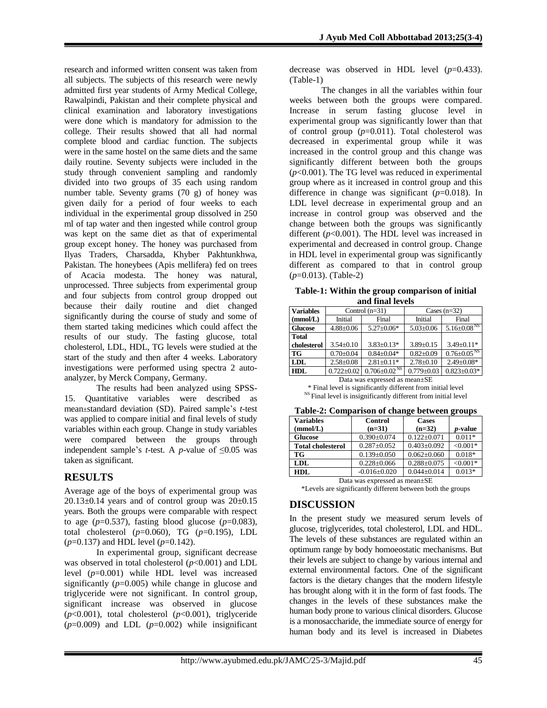research and informed written consent was taken from all subjects. The subjects of this research were newly admitted first year students of Army Medical College, Rawalpindi, Pakistan and their complete physical and clinical examination and laboratory investigations were done which is mandatory for admission to the college. Their results showed that all had normal complete blood and cardiac function. The subjects were in the same hostel on the same diets and the same daily routine. Seventy subjects were included in the study through convenient sampling and randomly divided into two groups of 35 each using random number table. Seventy grams (70 g) of honey was given daily for a period of four weeks to each individual in the experimental group dissolved in 250 ml of tap water and then ingested while control group was kept on the same diet as that of experimental group except honey. The honey was purchased from Ilyas Traders, Charsadda, Khyber Pakhtunkhwa, Pakistan. The honeybees (Apis mellifera) fed on trees of Acacia modesta. The honey was natural, unprocessed. Three subjects from experimental group and four subjects from control group dropped out because their daily routine and diet changed significantly during the course of study and some of them started taking medicines which could affect the results of our study. The fasting glucose, total cholesterol, LDL, HDL, TG levels were studied at the start of the study and then after 4 weeks. Laboratory investigations were performed using spectra 2 autoanalyzer, by Merck Company, Germany.

The results had been analyzed using SPSS-15. Quantitative variables were described as mean±standard deviation (SD). Paired sample's *t*-test was applied to compare initial and final levels of study variables within each group. Change in study variables were compared between the groups through independent sample's *t*-test. A *p*-value of  $\leq 0.05$  was taken as significant.

# **RESULTS**

Average age of the boys of experimental group was  $20.13\pm0.14$  years and of control group was  $20\pm0.15$ years. Both the groups were comparable with respect to age  $(p=0.537)$ , fasting blood glucose  $(p=0.083)$ , total cholesterol (*p*=0.060), TG (*p*=0.195), LDL (*p*=0.137) and HDL level (*p*=0.142).

In experimental group, significant decrease was observed in total cholesterol ( $p$ <0.001) and LDL level (*p*=0.001) while HDL level was increased significantly  $(p=0.005)$  while change in glucose and triglyceride were not significant. In control group, significant increase was observed in glucose (*p*<0.001), total cholesterol (*p*<0.001), triglyceride  $(p=0.009)$  and LDL  $(p=0.002)$  while insignificant decrease was observed in HDL level (*p*=0.433). (Table-1)

The changes in all the variables within four weeks between both the groups were compared. Increase in serum fasting glucose level in experimental group was significantly lower than that of control group  $(p=0.011)$ . Total cholesterol was decreased in experimental group while it was increased in the control group and this change was significantly different between both the groups  $(p<0.001)$ . The TG level was reduced in experimental group where as it increased in control group and this difference in change was significant (*p*=0.018). In LDL level decrease in experimental group and an increase in control group was observed and the change between both the groups was significantly different (*p*<0.001). The HDL level was increased in experimental and decreased in control group. Change in HDL level in experimental group was significantly different as compared to that in control group (*p*=0.013). (Table-2)

|  |                  | Table-1: Within the group comparison of initial |  |
|--|------------------|-------------------------------------------------|--|
|  | and final levels |                                                 |  |

| ани ниан куск    |                  |                                |                  |                               |  |  |  |
|------------------|------------------|--------------------------------|------------------|-------------------------------|--|--|--|
| <b>Variables</b> | Control $(n=31)$ |                                | Cases $(n=32)$   |                               |  |  |  |
| (mmol/L)         | Initial          | Final                          | Initial          | Final                         |  |  |  |
| <b>Glucose</b>   | $4.88 \pm 0.06$  | $5.27 \pm 0.06*$               | $5.03 \pm 0.06$  | $5.16 \pm 0.08$ <sup>NS</sup> |  |  |  |
| <b>Total</b>     |                  |                                |                  |                               |  |  |  |
| cholesterol      | $3.54 + 0.10$    | $3.83 + 0.13*$                 | $3.89 + 0.15$    | $3.49 \pm 0.11*$              |  |  |  |
| TG               | $0.70 + 0.04$    | $0.84 + 0.04*$                 | $0.82 + 0.09$    | $0.76 \pm 0.05$ <sup>NS</sup> |  |  |  |
| LDL              | $2.58 \pm 0.08$  | $2.81 + 0.11*$                 | $2.78 \pm 0.10$  | $2.49 \pm 0.08*$              |  |  |  |
| <b>HDL</b>       | $0.722 \pm 0.02$ | $0.706 \pm 0.02$ <sup>NS</sup> | $0.779 \pm 0.03$ | $0.823 \pm 0.03*$             |  |  |  |

Data was expressed as mean±SE \* Final level is significantly different from initial level <sup>NS</sup> Final level is insignificantly different from initial level

| $\frac{1}{2}$                 |                    |                   |                 |  |  |
|-------------------------------|--------------------|-------------------|-----------------|--|--|
| <b>Variables</b>              | <b>Control</b>     | <b>Cases</b>      |                 |  |  |
| (mmol/L)                      | $(n=31)$           | $(n=32)$          | <i>p</i> -value |  |  |
| <b>Glucose</b>                | $0.390 \pm 0.074$  | $0.122 + 0.071$   | $0.011*$        |  |  |
| <b>Total cholesterol</b>      | $0.287 + 0.052$    | $0.403 \pm 0.092$ | $< 0.001*$      |  |  |
| TG                            | $0.139 + 0.050$    | $0.062 \pm 0.060$ | $0.018*$        |  |  |
| LDL                           | $0.228 \pm 0.066$  | $0.288 + 0.075$   | $< 0.001*$      |  |  |
| HDL                           | $-0.016 \pm 0.020$ | $0.044 \pm 0.014$ | $0.013*$        |  |  |
| Data was expressed as mean+SF |                    |                   |                 |  |  |

Data was expressed as mean±SE

\*Levels are significantly different between both the groups

### **DISCUSSION**

In the present study we measured serum levels of glucose, triglycerides, total cholesterol, LDL and HDL. The levels of these substances are regulated within an optimum range by body homoeostatic mechanisms. But their levels are subject to change by various internal and external environmental factors. One of the significant factors is the dietary changes that the modern lifestyle has brought along with it in the form of fast foods. The changes in the levels of these substances make the human body prone to various clinical disorders. Glucose is a monosaccharide, the immediate source of energy for human body and its level is increased in Diabetes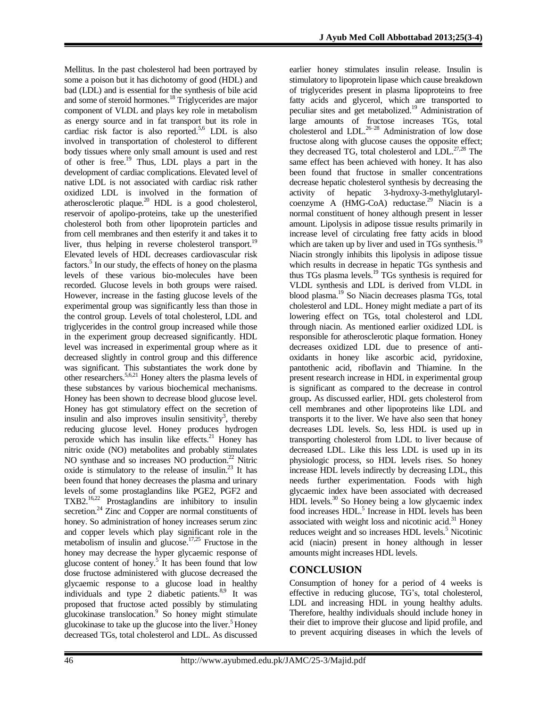Mellitus. In the past cholesterol had been portrayed by some a poison but it has dichotomy of good (HDL) and bad (LDL) and is essential for the synthesis of bile acid and some of steroid hormones.<sup>18</sup> Triglycerides are major component of VLDL and plays key role in metabolism as energy source and in fat transport but its role in cardiac risk factor is also reported. 5,6 LDL is also involved in transportation of cholesterol to different body tissues where only small amount is used and rest of other is free. <sup>19</sup> Thus, LDL plays a part in the development of cardiac complications. Elevated level of native LDL is not associated with cardiac risk rather oxidized LDL is involved in the formation of atherosclerotic plaque.<sup>20</sup> HDL is a good cholesterol, reservoir of apolipo-proteins, take up the unesterified cholesterol both from other lipoprotein particles and from cell membranes and then esterify it and takes it to liver, thus helping in reverse cholesterol transport.<sup>19</sup> Elevated levels of HDL decreases cardiovascular risk factors.<sup>5</sup> In our study, the effects of honey on the plasma levels of these various bio-molecules have been recorded. Glucose levels in both groups were raised. However, increase in the fasting glucose levels of the experimental group was significantly less than those in the control group. Levels of total cholesterol, LDL and triglycerides in the control group increased while those in the experiment group decreased significantly. HDL level was increased in experimental group where as it decreased slightly in control group and this difference was significant. This substantiates the work done by other researchers. 5,6,21 Honey alters the plasma levels of these substances by various biochemical mechanisms. Honey has been shown to decrease blood glucose level. Honey has got stimulatory effect on the secretion of insulin and also improves insulin sensitivity<sup>3</sup>, thereby reducing glucose level. Honey produces hydrogen peroxide which has insulin like effects. <sup>21</sup> Honey has nitric oxide (NO) metabolites and probably stimulates NO synthase and so increases NO production.<sup>22</sup> Nitric oxide is stimulatory to the release of insulin. <sup>23</sup> It has been found that honey decreases the plasma and urinary levels of some prostaglandins like PGE2, PGF2 and TXB2.<sup>16,22</sup> Prostaglandins are inhibitory to insulin secretion.<sup>24</sup> Zinc and Copper are normal constituents of honey. So administration of honey increases serum zinc and copper levels which play significant role in the metabolism of insulin and glucose. 17,25 Fructose in the honey may decrease the hyper glycaemic response of glucose content of honey. 5 It has been found that low dose fructose administered with glucose decreased the glycaemic response to a glucose load in healthy individuals and type 2 diabetic patients.<sup>8,9</sup> It was proposed that fructose acted possibly by stimulating glucokinase translocation. 9 So honey might stimulate glucokinase to take up the glucose into the liver.<sup>5</sup> Honey decreased TGs, total cholesterol and LDL. As discussed

earlier honey stimulates insulin release. Insulin is stimulatory to lipoprotein lipase which cause breakdown of triglycerides present in plasma lipoproteins to free fatty acids and glycerol, which are transported to peculiar sites and get metabolized. <sup>19</sup> Administration of large amounts of fructose increases TGs, total cholesterol and LDL. 26–28 Administration of low dose fructose along with glucose causes the opposite effect; they decreased TG, total cholesterol and LDL. 27,28 The same effect has been achieved with honey. It has also been found that fructose in smaller concentrations decrease hepatic cholesterol synthesis by decreasing the activity of hepatic 3-hydroxy-3-methylglutarylcoenzyme A (HMG-CoA) reductase. <sup>29</sup> Niacin is a normal constituent of honey although present in lesser amount. Lipolysis in adipose tissue results primarily in increase level of circulating free fatty acids in blood which are taken up by liver and used in TGs synthesis.<sup>19</sup> Niacin strongly inhibits this lipolysis in adipose tissue which results in decrease in hepatic TGs synthesis and thus TGs plasma levels. <sup>19</sup> TGs synthesis is required for VLDL synthesis and LDL is derived from VLDL in blood plasma. <sup>19</sup> So Niacin decreases plasma TGs, total cholesterol and LDL. Honey might mediate a part of its lowering effect on TGs, total cholesterol and LDL through niacin. As mentioned earlier oxidized LDL is responsible for atherosclerotic plaque formation. Honey decreases oxidized LDL due to presence of antioxidants in honey like ascorbic acid, pyridoxine, pantothenic acid, riboflavin and Thiamine. In the present research increase in HDL in experimental group is significant as compared to the decrease in control group**.** As discussed earlier, HDL gets cholesterol from cell membranes and other lipoproteins like LDL and transports it to the liver. We have also seen that honey decreases LDL levels. So, less HDL is used up in transporting cholesterol from LDL to liver because of decreased LDL. Like this less LDL is used up in its physiologic process, so HDL levels rises. So honey increase HDL levels indirectly by decreasing LDL, this needs further experimentation. Foods with high glycaemic index have been associated with decreased HDL levels. <sup>30</sup> So Honey being a low glycaemic index food increases HDL.<sup>5</sup> Increase in HDL levels has been associated with weight loss and nicotinic acid.<sup>31</sup> Honey reduces weight and so increases HDL levels. <sup>5</sup> Nicotinic acid (niacin) present in honey although in lesser amounts might increases HDL levels.

# **CONCLUSION**

Consumption of honey for a period of 4 weeks is effective in reducing glucose, TG's, total cholesterol, LDL and increasing HDL in young healthy adults. Therefore, healthy individuals should include honey in their diet to improve their glucose and lipid profile, and to prevent acquiring diseases in which the levels of